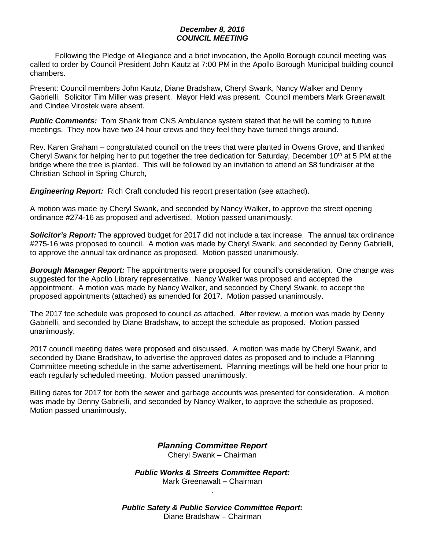## *December 8, 2016 COUNCIL MEETING*

Following the Pledge of Allegiance and a brief invocation, the Apollo Borough council meeting was called to order by Council President John Kautz at 7:00 PM in the Apollo Borough Municipal building council chambers.

Present: Council members John Kautz, Diane Bradshaw, Cheryl Swank, Nancy Walker and Denny Gabrielli. Solicitor Tim Miller was present. Mayor Held was present. Council members Mark Greenawalt and Cindee Virostek were absent.

**Public Comments:** Tom Shank from CNS Ambulance system stated that he will be coming to future meetings. They now have two 24 hour crews and they feel they have turned things around.

Rev. Karen Graham – congratulated council on the trees that were planted in Owens Grove, and thanked Cheryl Swank for helping her to put together the tree dedication for Saturday, December 10<sup>th</sup> at 5 PM at the bridge where the tree is planted. This will be followed by an invitation to attend an \$8 fundraiser at the Christian School in Spring Church,

*Engineering Report:* Rich Craft concluded his report presentation (see attached).

A motion was made by Cheryl Swank, and seconded by Nancy Walker, to approve the street opening ordinance #274-16 as proposed and advertised. Motion passed unanimously.

*Solicitor's Report:* The approved budget for 2017 did not include a tax increase. The annual tax ordinance #275-16 was proposed to council. A motion was made by Cheryl Swank, and seconded by Denny Gabrielli, to approve the annual tax ordinance as proposed. Motion passed unanimously.

*Borough Manager Report:* The appointments were proposed for council's consideration. One change was suggested for the Apollo Library representative. Nancy Walker was proposed and accepted the appointment. A motion was made by Nancy Walker, and seconded by Cheryl Swank, to accept the proposed appointments (attached) as amended for 2017. Motion passed unanimously.

The 2017 fee schedule was proposed to council as attached. After review, a motion was made by Denny Gabrielli, and seconded by Diane Bradshaw, to accept the schedule as proposed. Motion passed unanimously.

2017 council meeting dates were proposed and discussed. A motion was made by Cheryl Swank, and seconded by Diane Bradshaw, to advertise the approved dates as proposed and to include a Planning Committee meeting schedule in the same advertisement. Planning meetings will be held one hour prior to each regularly scheduled meeting. Motion passed unanimously.

Billing dates for 2017 for both the sewer and garbage accounts was presented for consideration. A motion was made by Denny Gabrielli, and seconded by Nancy Walker, to approve the schedule as proposed. Motion passed unanimously.

> *Planning Committee Report* Cheryl Swank – Chairman

*Public Works & Streets Committee Report:* Mark Greenawalt **–** Chairman

.

*Public Safety & Public Service Committee Report:* Diane Bradshaw – Chairman